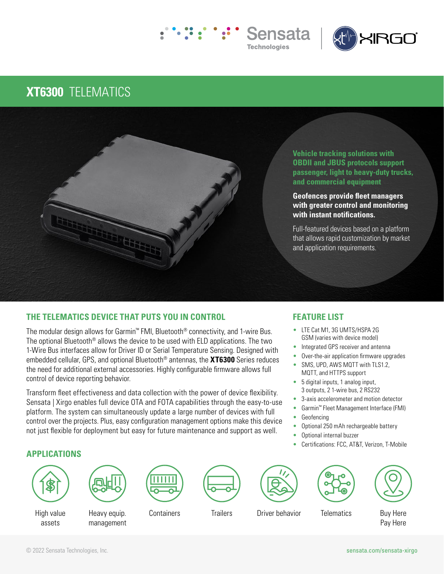



## **XT6300** TELEMATICS



## **THE TELEMATICS DEVICE THAT PUTS YOU IN CONTROL**

The modular design allows for Garmin™ FMI, Bluetooth® connectivity, and 1-wire Bus. The optional Bluetooth® allows the device to be used with ELD applications. The two 1-Wire Bus interfaces allow for Driver ID or Serial Temperature Sensing. Designed with embedded cellular, GPS, and optional Bluetooth® antennas, the **XT6300** Series reduces the need for additional external accessories. Highly configurable firmware allows full control of device reporting behavior.

Transform fleet effectiveness and data collection with the power of device flexibility. Sensata | Xirgo enables full device OTA and FOTA capabilities through the easy-to-use platform. The system can simultaneously update a large number of devices with full control over the projects. Plus, easy configuration management options make this device not just flexible for deployment but easy for future maintenance and support as well.

## **FEATURE LIST**

- LTE Cat M1, 3G UMTS/HSPA 2G GSM (varies with device model)
- Integrated GPS receiver and antenna
- Over-the-air application firmware upgrades
- SMS, UPD, AWS MQTT with TLS1.2. MQTT, and HTTPS support
- 5 digital inputs, 1 analog input, 3 outputs, 2 1-wire bus, 2 RS232
- 3-axis accelerometer and motion detector
- Garmin™ Fleet Management Interface (FMI)
- **Geofencing**
- Optional 250 mAh rechargeable battery
- Optional internal buzzer
- Certifications: FCC, AT&T, Verizon, T-Mobile

## **APPLICATIONS**





High value assets

Heavy equip. management









Containers Trailers Driver behavior Telematics Buy Here

Pay Here